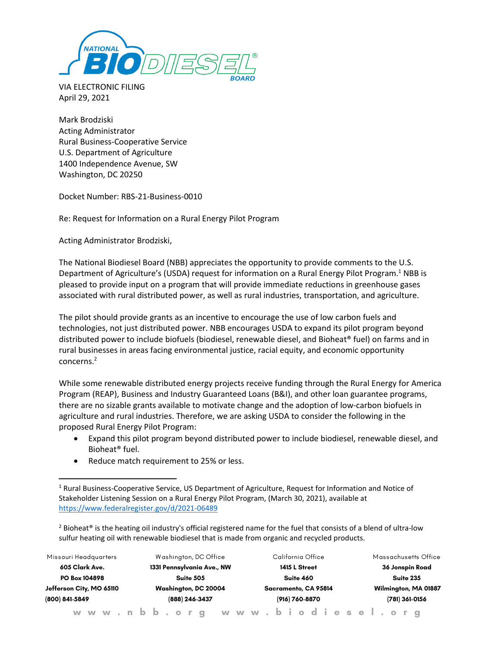

VIA ELECTRONIC FILING April 29, 2021

Mark Brodziski Acting Administrator Rural Business-Cooperative Service U.S. Department of Agriculture 1400 Independence Avenue, SW Washington, DC 20250

Docket Number: RBS-21-Business-0010

Re: Request for Information on a Rural Energy Pilot Program

Acting Administrator Brodziski,

The National Biodiesel Board (NBB) appreciates the opportunity to provide comments to the U.S. Department of Agriculture's (USDA) request for information on a Rural Energy Pilot Program.<sup>1</sup> NBB is pleased to provide input on a program that will provide immediate reductions in greenhouse gases associated with rural distributed power, as well as rural industries, transportation, and agriculture.

The pilot should provide grants as an incentive to encourage the use of low carbon fuels and technologies, not just distributed power. NBB encourages USDA to expand its pilot program beyond distributed power to include biofuels (biodiesel, renewable diesel, and Bioheat® fuel) on farms and in rural businesses in areas facing environmental justice, racial equity, and economic opportunity concerns. 2

While some renewable distributed energy projects receive funding through the Rural Energy for America Program (REAP), Business and Industry Guaranteed Loans (B&I), and other loan guarantee programs, there are no sizable grants available to motivate change and the adoption of low-carbon biofuels in agriculture and rural industries. Therefore, we are asking USDA to consider the following in the proposed Rural Energy Pilot Program:

- Expand this pilot program beyond distributed power to include biodiesel, renewable diesel, and Bioheat® fuel.
- Reduce match requirement to 25% or less.

<sup>&</sup>lt;sup>2</sup> Bioheat<sup>®</sup> is the heating oil industry's official registered name for the fuel that consists of a blend of ultra-low sulfur heating oil with renewable biodiesel that is made from organic and recycled products.

| Missouri Headquarters                                       |  |  |  |                      | Washington, DC Office      |  |  |  |  |  |  |                      | California Office |               |  |  |  |  |  |  |                      |                  |  |                 |  | Massachusetts Office |  |  |  |
|-------------------------------------------------------------|--|--|--|----------------------|----------------------------|--|--|--|--|--|--|----------------------|-------------------|---------------|--|--|--|--|--|--|----------------------|------------------|--|-----------------|--|----------------------|--|--|--|
| 605 Clark Ave.                                              |  |  |  |                      | 1331 Pennsylvania Ave., NW |  |  |  |  |  |  |                      |                   | 1415 L Street |  |  |  |  |  |  |                      |                  |  | 36 Jonspin Road |  |                      |  |  |  |
| PO Box 104898<br>Jefferson City, MO 65110<br>(800) 841-5849 |  |  |  | Suite 505            |                            |  |  |  |  |  |  | Suite 460            |                   |               |  |  |  |  |  |  | Suite 235            |                  |  |                 |  |                      |  |  |  |
|                                                             |  |  |  | Washington, DC 20004 |                            |  |  |  |  |  |  | Sacramento, CA 95814 |                   |               |  |  |  |  |  |  | Wilmington, MA 01887 |                  |  |                 |  |                      |  |  |  |
|                                                             |  |  |  | (888) 246-3437       |                            |  |  |  |  |  |  | (916) 760-8870       |                   |               |  |  |  |  |  |  |                      | $(781)$ 361-0156 |  |                 |  |                      |  |  |  |
| www.nbb.org www.biodiesel.org                               |  |  |  |                      |                            |  |  |  |  |  |  |                      |                   |               |  |  |  |  |  |  |                      |                  |  |                 |  |                      |  |  |  |

<sup>&</sup>lt;sup>1</sup> Rural Business-Cooperative Service, US Department of Agriculture, Request for Information and Notice of Stakeholder Listening Session on a Rural Energy Pilot Program, (March 30, 2021), available at <https://www.federalregister.gov/d/2021-06489>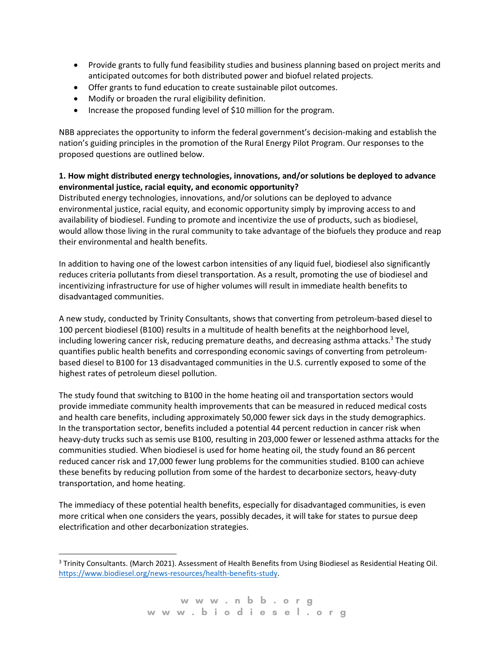- Provide grants to fully fund feasibility studies and business planning based on project merits and anticipated outcomes for both distributed power and biofuel related projects.
- Offer grants to fund education to create sustainable pilot outcomes.
- Modify or broaden the rural eligibility definition.
- Increase the proposed funding level of \$10 million for the program.

NBB appreciates the opportunity to inform the federal government's decision-making and establish the nation's guiding principles in the promotion of the Rural Energy Pilot Program. Our responses to the proposed questions are outlined below.

### **1. How might distributed energy technologies, innovations, and/or solutions be deployed to advance environmental justice, racial equity, and economic opportunity?**

Distributed energy technologies, innovations, and/or solutions can be deployed to advance environmental justice, racial equity, and economic opportunity simply by improving access to and availability of biodiesel. Funding to promote and incentivize the use of products, such as biodiesel, would allow those living in the rural community to take advantage of the biofuels they produce and reap their environmental and health benefits.

In addition to having one of the lowest carbon intensities of any liquid fuel, biodiesel also significantly reduces criteria pollutants from diesel transportation. As a result, promoting the use of biodiesel and incentivizing infrastructure for use of higher volumes will result in immediate health benefits to disadvantaged communities.

A new study, conducted by Trinity Consultants, shows that converting from petroleum-based diesel to 100 percent biodiesel (B100) results in a multitude of health benefits at the neighborhood level, including lowering cancer risk, reducing premature deaths, and decreasing asthma attacks.<sup>3</sup> The study quantifies public health benefits and corresponding economic savings of converting from petroleumbased diesel to B100 for 13 disadvantaged communities in the U.S. currently exposed to some of the highest rates of petroleum diesel pollution.

The study found that switching to B100 in the home heating oil and transportation sectors would provide immediate community health improvements that can be measured in reduced medical costs and health care benefits, including approximately 50,000 fewer sick days in the study demographics. In the transportation sector, benefits included a potential 44 percent reduction in cancer risk when heavy-duty trucks such as semis use B100, resulting in 203,000 fewer or lessened asthma attacks for the communities studied. When biodiesel is used for home heating oil, the study found an 86 percent reduced cancer risk and 17,000 fewer lung problems for the communities studied. B100 can achieve these benefits by reducing pollution from some of the hardest to decarbonize sectors, heavy-duty transportation, and home heating.

The immediacy of these potential health benefits, especially for disadvantaged communities, is even more critical when one considers the years, possibly decades, it will take for states to pursue deep electrification and other decarbonization strategies.

<sup>3</sup> Trinity Consultants. (March 2021). Assessment of Health Benefits from Using Biodiesel as Residential Heating Oil. [https://www.biodiesel.org/news-resources/health-benefits-study.](https://www.biodiesel.org/news-resources/health-benefits-study)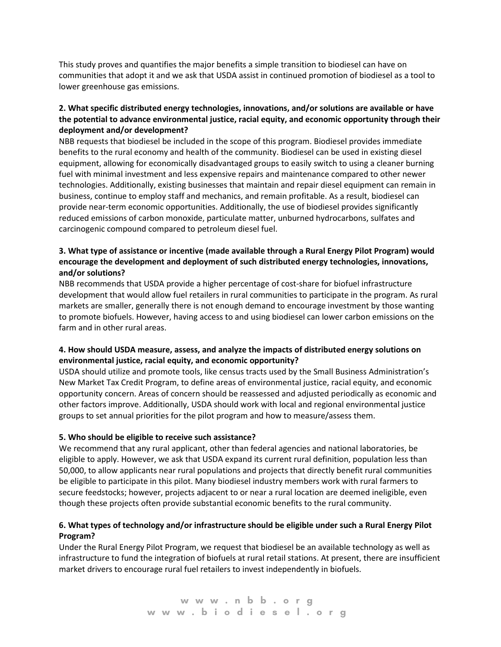This study proves and quantifies the major benefits a simple transition to biodiesel can have on communities that adopt it and we ask that USDA assist in continued promotion of biodiesel as a tool to lower greenhouse gas emissions.

# **2. What specific distributed energy technologies, innovations, and/or solutions are available or have the potential to advance environmental justice, racial equity, and economic opportunity through their deployment and/or development?**

NBB requests that biodiesel be included in the scope of this program. Biodiesel provides immediate benefits to the rural economy and health of the community. Biodiesel can be used in existing diesel equipment, allowing for economically disadvantaged groups to easily switch to using a cleaner burning fuel with minimal investment and less expensive repairs and maintenance compared to other newer technologies. Additionally, existing businesses that maintain and repair diesel equipment can remain in business, continue to employ staff and mechanics, and remain profitable. As a result, biodiesel can provide near-term economic opportunities. Additionally, the use of biodiesel provides significantly reduced emissions of carbon monoxide, particulate matter, unburned hydrocarbons, sulfates and carcinogenic compound compared to petroleum diesel fuel.

# **3. What type of assistance or incentive (made available through a Rural Energy Pilot Program) would encourage the development and deployment of such distributed energy technologies, innovations, and/or solutions?**

NBB recommends that USDA provide a higher percentage of cost-share for biofuel infrastructure development that would allow fuel retailers in rural communities to participate in the program. As rural markets are smaller, generally there is not enough demand to encourage investment by those wanting to promote biofuels. However, having access to and using biodiesel can lower carbon emissions on the farm and in other rural areas.

# **4. How should USDA measure, assess, and analyze the impacts of distributed energy solutions on environmental justice, racial equity, and economic opportunity?**

USDA should utilize and promote tools, like census tracts used by the Small Business Administration's New Market Tax Credit Program, to define areas of environmental justice, racial equity, and economic opportunity concern. Areas of concern should be reassessed and adjusted periodically as economic and other factors improve. Additionally, USDA should work with local and regional environmental justice groups to set annual priorities for the pilot program and how to measure/assess them.

#### **5. Who should be eligible to receive such assistance?**

We recommend that any rural applicant, other than federal agencies and national laboratories, be eligible to apply. However, we ask that USDA expand its current rural definition, population less than 50,000, to allow applicants near rural populations and projects that directly benefit rural communities be eligible to participate in this pilot. Many biodiesel industry members work with rural farmers to secure feedstocks; however, projects adjacent to or near a rural location are deemed ineligible, even though these projects often provide substantial economic benefits to the rural community.

### **6. What types of technology and/or infrastructure should be eligible under such a Rural Energy Pilot Program?**

Under the Rural Energy Pilot Program, we request that biodiesel be an available technology as well as infrastructure to fund the integration of biofuels at rural retail stations. At present, there are insufficient market drivers to encourage rural fuel retailers to invest independently in biofuels.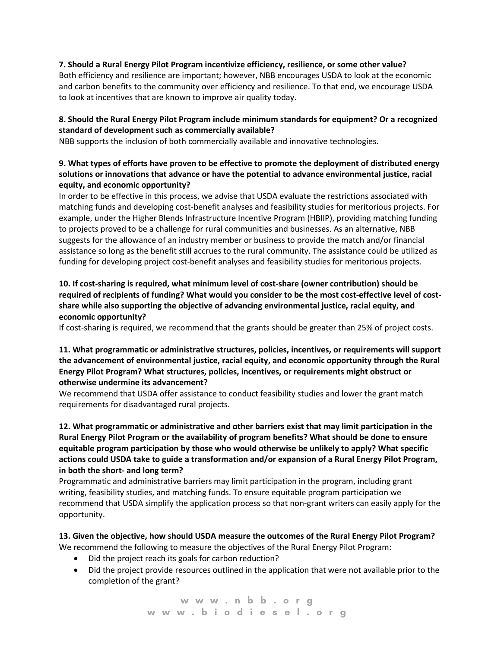#### **7. Should a Rural Energy Pilot Program incentivize efficiency, resilience, or some other value?**

Both efficiency and resilience are important; however, NBB encourages USDA to look at the economic and carbon benefits to the community over efficiency and resilience. To that end, we encourage USDA to look at incentives that are known to improve air quality today.

# **8. Should the Rural Energy Pilot Program include minimum standards for equipment? Or a recognized standard of development such as commercially available?**

NBB supports the inclusion of both commercially available and innovative technologies.

# **9. What types of efforts have proven to be effective to promote the deployment of distributed energy solutions or innovations that advance or have the potential to advance environmental justice, racial equity, and economic opportunity?**

In order to be effective in this process, we advise that USDA evaluate the restrictions associated with matching funds and developing cost-benefit analyses and feasibility studies for meritorious projects. For example, under the Higher Blends Infrastructure Incentive Program (HBIIP), providing matching funding to projects proved to be a challenge for rural communities and businesses. As an alternative, NBB suggests for the allowance of an industry member or business to provide the match and/or financial assistance so long as the benefit still accrues to the rural community. The assistance could be utilized as funding for developing project cost-benefit analyses and feasibility studies for meritorious projects.

# **10. If cost-sharing is required, what minimum level of cost-share (owner contribution) should be required of recipients of funding? What would you consider to be the most cost-effective level of costshare while also supporting the objective of advancing environmental justice, racial equity, and economic opportunity?**

If cost-sharing is required, we recommend that the grants should be greater than 25% of project costs.

### **11. What programmatic or administrative structures, policies, incentives, or requirements will support the advancement of environmental justice, racial equity, and economic opportunity through the Rural Energy Pilot Program? What structures, policies, incentives, or requirements might obstruct or otherwise undermine its advancement?**

We recommend that USDA offer assistance to conduct feasibility studies and lower the grant match requirements for disadvantaged rural projects.

## **12. What programmatic or administrative and other barriers exist that may limit participation in the Rural Energy Pilot Program or the availability of program benefits? What should be done to ensure equitable program participation by those who would otherwise be unlikely to apply? What specific actions could USDA take to guide a transformation and/or expansion of a Rural Energy Pilot Program, in both the short- and long term?**

Programmatic and administrative barriers may limit participation in the program, including grant writing, feasibility studies, and matching funds. To ensure equitable program participation we recommend that USDA simplify the application process so that non-grant writers can easily apply for the opportunity.

# **13. Given the objective, how should USDA measure the outcomes of the Rural Energy Pilot Program?** We recommend the following to measure the objectives of the Rural Energy Pilot Program:

- Did the project reach its goals for carbon reduction?
- Did the project provide resources outlined in the application that were not available prior to the completion of the grant?